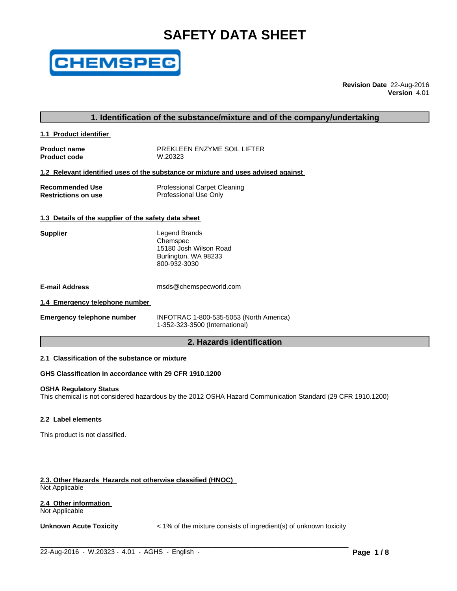# **SAFETY DATA SHEET**



**Revision Date** 22-Aug-2016 **Version** 4.01

# **1. Identification of the substance/mixture and of the company/undertaking**

**1.1 Product identifier** 

**Product name** PREKLEEN ENZYME SOIL LIFTER<br>Product code **Product** 200823 **Product code** 

# **1.2 Relevant identified uses of the substance or mixture and uses advised against**

| <b>Recommended Use</b>     | <b>Professional Carpet Cleaning</b> |
|----------------------------|-------------------------------------|
| <b>Restrictions on use</b> | Professional Use Only               |

### **1.3 Details of the supplier of the safety data sheet**

| <b>Supplier</b> | Legend Brands          |
|-----------------|------------------------|
|                 | Chemspec               |
|                 | 15180 Josh Wilson Road |
|                 | Burlington, WA 98233   |
|                 | 800-932-3030           |
|                 |                        |

| <b>E-mail Address</b> | msds@chemspecworld.com |
|-----------------------|------------------------|
|-----------------------|------------------------|

### **1.4 Emergency telephone number**

| <b>Emergency telephone number</b> |  |  |
|-----------------------------------|--|--|
|-----------------------------------|--|--|

**Emergency telephone number** INFOTRAC 1-800-535-5053 (North America) 1-352-323-3500 (International)

# **2. Hazards identification**

### **2.1 Classification of the substance or mixture**

# **GHS Classification in accordance with 29 CFR 1910.1200**

#### **OSHA Regulatory Status**

This chemical is not considered hazardous by the 2012 OSHA Hazard Communication Standard (29 CFR 1910.1200)

#### **2.2 Label elements**

This product is not classified.

# **2.3. Other Hazards Hazards not otherwise classified (HNOC)**

Not Applicable

# **2.4 Other information**

Not Applicable

**Unknown Acute Toxicity** < 1% of the mixture consists of ingredient(s) of unknown toxicity

 $\_$  ,  $\_$  ,  $\_$  ,  $\_$  ,  $\_$  ,  $\_$  ,  $\_$  ,  $\_$  ,  $\_$  ,  $\_$  ,  $\_$  ,  $\_$  ,  $\_$  ,  $\_$  ,  $\_$  ,  $\_$  ,  $\_$  ,  $\_$  ,  $\_$  ,  $\_$  ,  $\_$  ,  $\_$  ,  $\_$  ,  $\_$  ,  $\_$  ,  $\_$  ,  $\_$  ,  $\_$  ,  $\_$  ,  $\_$  ,  $\_$  ,  $\_$  ,  $\_$  ,  $\_$  ,  $\_$  ,  $\_$  ,  $\_$  ,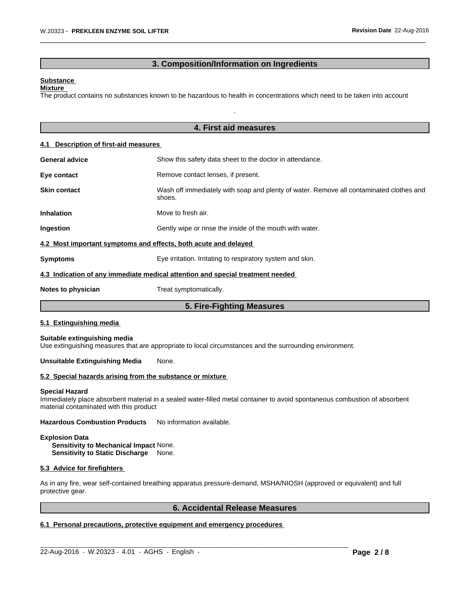# **3. Composition/Information on Ingredients**

.

 $\overline{\phantom{a}}$  ,  $\overline{\phantom{a}}$  ,  $\overline{\phantom{a}}$  ,  $\overline{\phantom{a}}$  ,  $\overline{\phantom{a}}$  ,  $\overline{\phantom{a}}$  ,  $\overline{\phantom{a}}$  ,  $\overline{\phantom{a}}$  ,  $\overline{\phantom{a}}$  ,  $\overline{\phantom{a}}$  ,  $\overline{\phantom{a}}$  ,  $\overline{\phantom{a}}$  ,  $\overline{\phantom{a}}$  ,  $\overline{\phantom{a}}$  ,  $\overline{\phantom{a}}$  ,  $\overline{\phantom{a}}$ 

### **Substance**

**Mixture**  The product contains no substances known to be hazardous to health in concentrations which need to be taken into account

|                                       | 4. First aid measures                                                                             |  |  |
|---------------------------------------|---------------------------------------------------------------------------------------------------|--|--|
| 4.1 Description of first-aid measures |                                                                                                   |  |  |
| <b>General advice</b>                 | Show this safety data sheet to the doctor in attendance.                                          |  |  |
| Eye contact                           | Remove contact lenses, if present.                                                                |  |  |
| <b>Skin contact</b>                   | Wash off immediately with soap and plenty of water. Remove all contaminated clothes and<br>shoes. |  |  |
| <b>Inhalation</b>                     | Move to fresh air.                                                                                |  |  |
| Ingestion                             | Gently wipe or rinse the inside of the mouth with water.                                          |  |  |
|                                       | 4.2 Most important symptoms and effects, both acute and delayed                                   |  |  |
| <b>Symptoms</b>                       | Eye irritation. Irritating to respiratory system and skin.                                        |  |  |
|                                       | 4.3 Indication of any immediate medical attention and special treatment needed                    |  |  |
| Notes to physician                    | Treat symptomatically.                                                                            |  |  |
|                                       | 5. Fire-Fighting Measures                                                                         |  |  |

Use extinguishing measures that are appropriate to local circumstances and the surrounding environment.

### **Unsuitable Extinguishing Media** None.

# **5.2 Special hazards arising from the substance or mixture**

#### **Special Hazard**

Immediately place absorbent material in a sealed water-filled metal container to avoid spontaneous combustion of absorbent material contaminated with this product

**Hazardous Combustion Products** No information available.

# **Explosion Data Sensitivity to Mechanical Impact** None.

**Sensitivity to Static Discharge** None.

### **5.3 Advice for firefighters**

As in any fire, wear self-contained breathing apparatus pressure-demand, MSHA/NIOSH (approved or equivalent) and full protective gear.

 $\_$  ,  $\_$  ,  $\_$  ,  $\_$  ,  $\_$  ,  $\_$  ,  $\_$  ,  $\_$  ,  $\_$  ,  $\_$  ,  $\_$  ,  $\_$  ,  $\_$  ,  $\_$  ,  $\_$  ,  $\_$  ,  $\_$  ,  $\_$  ,  $\_$  ,  $\_$  ,  $\_$  ,  $\_$  ,  $\_$  ,  $\_$  ,  $\_$  ,  $\_$  ,  $\_$  ,  $\_$  ,  $\_$  ,  $\_$  ,  $\_$  ,  $\_$  ,  $\_$  ,  $\_$  ,  $\_$  ,  $\_$  ,  $\_$  ,

# **6. Accidental Release Measures**

# **6.1 Personal precautions, protective equipment and emergency procedures**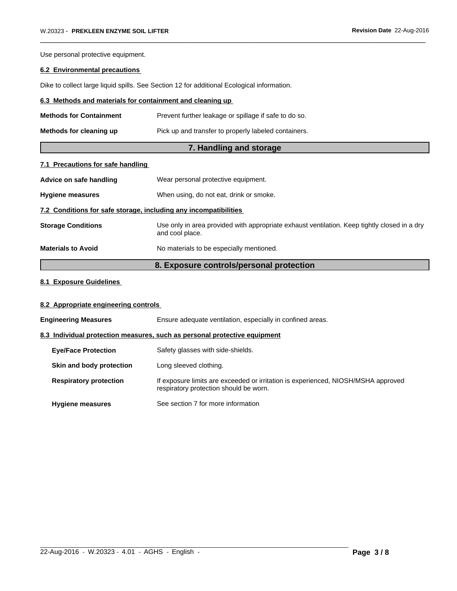Use personal protective equipment.

# **6.2 Environmental precautions**

Dike to collect large liquid spills. See Section 12 for additional Ecological information.

# **6.3 Methods and materials for containment and cleaning up**

| <b>Methods for Containment</b> | Prevent further leakage or spillage if safe to do so. |
|--------------------------------|-------------------------------------------------------|
| Methods for cleaning up        | Pick up and transfer to properly labeled containers.  |

# **7. Handling and storage**

 $\overline{\phantom{a}}$  ,  $\overline{\phantom{a}}$  ,  $\overline{\phantom{a}}$  ,  $\overline{\phantom{a}}$  ,  $\overline{\phantom{a}}$  ,  $\overline{\phantom{a}}$  ,  $\overline{\phantom{a}}$  ,  $\overline{\phantom{a}}$  ,  $\overline{\phantom{a}}$  ,  $\overline{\phantom{a}}$  ,  $\overline{\phantom{a}}$  ,  $\overline{\phantom{a}}$  ,  $\overline{\phantom{a}}$  ,  $\overline{\phantom{a}}$  ,  $\overline{\phantom{a}}$  ,  $\overline{\phantom{a}}$ 

# **7.1 Precautions for safe handling**

| Advice on safe handling                                          | Wear personal protective equipment.                                                                             |  |  |
|------------------------------------------------------------------|-----------------------------------------------------------------------------------------------------------------|--|--|
| <b>Hygiene measures</b>                                          | When using, do not eat, drink or smoke.                                                                         |  |  |
| 7.2 Conditions for safe storage, including any incompatibilities |                                                                                                                 |  |  |
| <b>Storage Conditions</b>                                        | Use only in area provided with appropriate exhaust ventilation. Keep tightly closed in a dry<br>and cool place. |  |  |
| <b>Materials to Avoid</b>                                        | No materials to be especially mentioned.                                                                        |  |  |

# **8. Exposure controls/personal protection**

# **8.1 Exposure Guidelines**

# **8.2 Appropriate engineering controls**

| <b>Engineering Measures</b> |                                                                           | Ensure adequate ventilation, especially in confined areas.                                                                  |  |
|-----------------------------|---------------------------------------------------------------------------|-----------------------------------------------------------------------------------------------------------------------------|--|
|                             | 8.3 Individual protection measures, such as personal protective equipment |                                                                                                                             |  |
|                             | <b>Eve/Face Protection</b>                                                | Safety glasses with side-shields.                                                                                           |  |
|                             | Skin and body protection                                                  | Long sleeved clothing.                                                                                                      |  |
|                             | <b>Respiratory protection</b>                                             | If exposure limits are exceeded or irritation is experienced, NIOSH/MSHA approved<br>respiratory protection should be worn. |  |
|                             | <b>Hygiene measures</b>                                                   | See section 7 for more information                                                                                          |  |

 $\_$  ,  $\_$  ,  $\_$  ,  $\_$  ,  $\_$  ,  $\_$  ,  $\_$  ,  $\_$  ,  $\_$  ,  $\_$  ,  $\_$  ,  $\_$  ,  $\_$  ,  $\_$  ,  $\_$  ,  $\_$  ,  $\_$  ,  $\_$  ,  $\_$  ,  $\_$  ,  $\_$  ,  $\_$  ,  $\_$  ,  $\_$  ,  $\_$  ,  $\_$  ,  $\_$  ,  $\_$  ,  $\_$  ,  $\_$  ,  $\_$  ,  $\_$  ,  $\_$  ,  $\_$  ,  $\_$  ,  $\_$  ,  $\_$  ,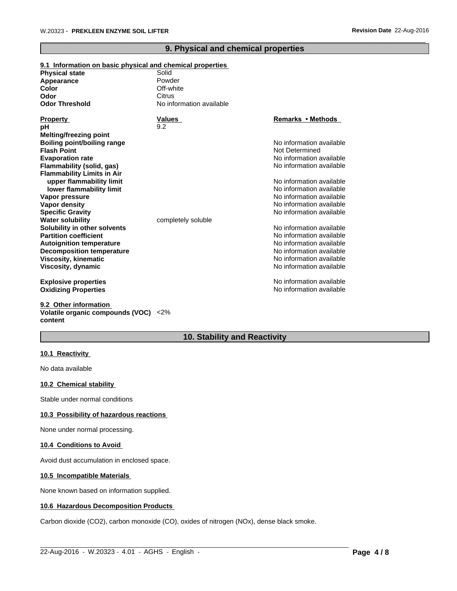# **9. Physical and chemical properties**

 $\overline{\phantom{a}}$  ,  $\overline{\phantom{a}}$  ,  $\overline{\phantom{a}}$  ,  $\overline{\phantom{a}}$  ,  $\overline{\phantom{a}}$  ,  $\overline{\phantom{a}}$  ,  $\overline{\phantom{a}}$  ,  $\overline{\phantom{a}}$  ,  $\overline{\phantom{a}}$  ,  $\overline{\phantom{a}}$  ,  $\overline{\phantom{a}}$  ,  $\overline{\phantom{a}}$  ,  $\overline{\phantom{a}}$  ,  $\overline{\phantom{a}}$  ,  $\overline{\phantom{a}}$  ,  $\overline{\phantom{a}}$ 

| 9.1 Information on basic physical and chemical properties |                          |                          |
|-----------------------------------------------------------|--------------------------|--------------------------|
| <b>Physical state</b>                                     | Solid                    |                          |
| Appearance                                                | Powder                   |                          |
| Color                                                     | Off-white                |                          |
| Odor                                                      | Citrus                   |                          |
| <b>Odor Threshold</b>                                     | No information available |                          |
| <b>Property</b>                                           | <b>Values</b>            | Remarks • Methods        |
| рH                                                        | 9.2                      |                          |
| Melting/freezing point                                    |                          |                          |
| <b>Boiling point/boiling range</b>                        |                          | No information available |
| <b>Flash Point</b>                                        |                          | Not Determined           |
| <b>Evaporation rate</b>                                   |                          | No information available |
| Flammability (solid, gas)                                 |                          | No information available |
| <b>Flammability Limits in Air</b>                         |                          |                          |
| upper flammability limit                                  |                          | No information available |
| lower flammability limit                                  |                          | No information available |
| Vapor pressure                                            |                          | No information available |
| Vapor density                                             |                          | No information available |
| <b>Specific Gravity</b>                                   |                          | No information available |
| <b>Water solubility</b>                                   | completely soluble       |                          |
| Solubility in other solvents                              |                          | No information available |
| <b>Partition coefficient</b>                              |                          | No information available |
| <b>Autoignition temperature</b>                           |                          | No information available |
| <b>Decomposition temperature</b>                          |                          | No information available |
| <b>Viscosity, kinematic</b>                               |                          | No information available |
| Viscosity, dynamic                                        |                          | No information available |
| <b>Explosive properties</b>                               |                          | No information available |
| <b>Oxidizing Properties</b>                               |                          | No information available |

**9.2 Other information Volatile organic compounds (VOC)** <2% **content**

# **10. Stability and Reactivity**

 $\_$  ,  $\_$  ,  $\_$  ,  $\_$  ,  $\_$  ,  $\_$  ,  $\_$  ,  $\_$  ,  $\_$  ,  $\_$  ,  $\_$  ,  $\_$  ,  $\_$  ,  $\_$  ,  $\_$  ,  $\_$  ,  $\_$  ,  $\_$  ,  $\_$  ,  $\_$  ,  $\_$  ,  $\_$  ,  $\_$  ,  $\_$  ,  $\_$  ,  $\_$  ,  $\_$  ,  $\_$  ,  $\_$  ,  $\_$  ,  $\_$  ,  $\_$  ,  $\_$  ,  $\_$  ,  $\_$  ,  $\_$  ,  $\_$  ,

# **10.1 Reactivity**

No data available

### **10.2 Chemical stability**

Stable under normal conditions

# **10.3 Possibility of hazardous reactions**

None under normal processing.

### **10.4 Conditions to Avoid**

Avoid dust accumulation in enclosed space.

# **10.5 Incompatible Materials**

None known based on information supplied.

#### **10.6 Hazardous Decomposition Products**

Carbon dioxide (CO2), carbon monoxide (CO), oxides of nitrogen (NOx), dense black smoke.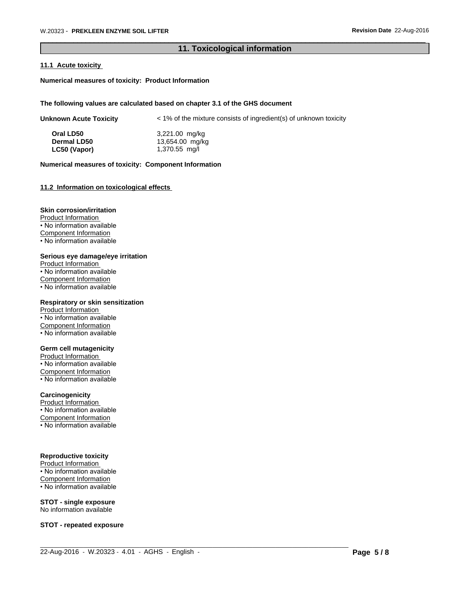# **11. Toxicological information**

 $\overline{\phantom{a}}$  ,  $\overline{\phantom{a}}$  ,  $\overline{\phantom{a}}$  ,  $\overline{\phantom{a}}$  ,  $\overline{\phantom{a}}$  ,  $\overline{\phantom{a}}$  ,  $\overline{\phantom{a}}$  ,  $\overline{\phantom{a}}$  ,  $\overline{\phantom{a}}$  ,  $\overline{\phantom{a}}$  ,  $\overline{\phantom{a}}$  ,  $\overline{\phantom{a}}$  ,  $\overline{\phantom{a}}$  ,  $\overline{\phantom{a}}$  ,  $\overline{\phantom{a}}$  ,  $\overline{\phantom{a}}$ 

### **11.1 Acute toxicity**

**Numerical measures of toxicity: Product Information**

### **The following values are calculated based on chapter 3.1 of the GHS document**

| <b>Unknown Acute Toxicity</b> | < 1% of the mixture consists of ingredient(s) of unknown toxicity |
|-------------------------------|-------------------------------------------------------------------|
|-------------------------------|-------------------------------------------------------------------|

| Oral LD50          | 3,221.00 mg/kg  |
|--------------------|-----------------|
| <b>Dermal LD50</b> | 13,654.00 mg/kg |
| LC50 (Vapor)       | 1,370.55 mg/l   |

### **Numerical measures of toxicity: Component Information**

### **11.2 Information on toxicological effects**

### **Skin corrosion/irritation**

Product Information • No information available Component Information • No information available

#### **Serious eye damage/eye irritation**

Product Information • No information available Component Information • No information available

### **Respiratory or skin sensitization**

Product Information • No information available Component Information • No information available

### **Germ cell mutagenicity**

Product Information • No information available Component Information • No information available

# **Carcinogenicity**

Product Information

• No information available

Component Information

• No information available

# **Reproductive toxicity**

Product Information • No information available Component Information • No information available

### **STOT - single exposure** No information available

**STOT - repeated exposure**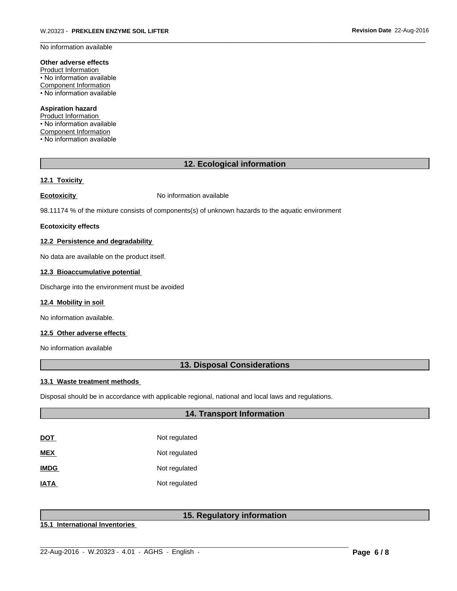No information available

# **Other adverse effects**

Product Information • No information available Component Information • No information available

### **Aspiration hazard**

Product Information • No information available Component Information • No information available

# **12. Ecological information**

 $\overline{\phantom{a}}$  ,  $\overline{\phantom{a}}$  ,  $\overline{\phantom{a}}$  ,  $\overline{\phantom{a}}$  ,  $\overline{\phantom{a}}$  ,  $\overline{\phantom{a}}$  ,  $\overline{\phantom{a}}$  ,  $\overline{\phantom{a}}$  ,  $\overline{\phantom{a}}$  ,  $\overline{\phantom{a}}$  ,  $\overline{\phantom{a}}$  ,  $\overline{\phantom{a}}$  ,  $\overline{\phantom{a}}$  ,  $\overline{\phantom{a}}$  ,  $\overline{\phantom{a}}$  ,  $\overline{\phantom{a}}$ 

# **12.1 Toxicity**

**Ecotoxicity No information available** 

98.11174 % of the mixture consists of components(s) of unknown hazards to the aquatic environment

#### **Ecotoxicity effects**

# **12.2 Persistence and degradability**

No data are available on the product itself.

### **12.3 Bioaccumulative potential**

Discharge into the environment must be avoided

#### **12.4 Mobility in soil**

No information available.

### **12.5 Other adverse effects**

No information available

# **13. Disposal Considerations**

### **13.1 Waste treatment methods**

Disposal should be in accordance with applicable regional, national and local laws and regulations.

# **14. Transport Information**

| DOT         | Not regulated |
|-------------|---------------|
| MEX         | Not regulated |
| <b>IMDG</b> | Not regulated |
| <b>IATA</b> | Not regulated |

# **15. Regulatory information**

 $\_$  ,  $\_$  ,  $\_$  ,  $\_$  ,  $\_$  ,  $\_$  ,  $\_$  ,  $\_$  ,  $\_$  ,  $\_$  ,  $\_$  ,  $\_$  ,  $\_$  ,  $\_$  ,  $\_$  ,  $\_$  ,  $\_$  ,  $\_$  ,  $\_$  ,  $\_$  ,  $\_$  ,  $\_$  ,  $\_$  ,  $\_$  ,  $\_$  ,  $\_$  ,  $\_$  ,  $\_$  ,  $\_$  ,  $\_$  ,  $\_$  ,  $\_$  ,  $\_$  ,  $\_$  ,  $\_$  ,  $\_$  ,  $\_$  ,

**15.1 International Inventories**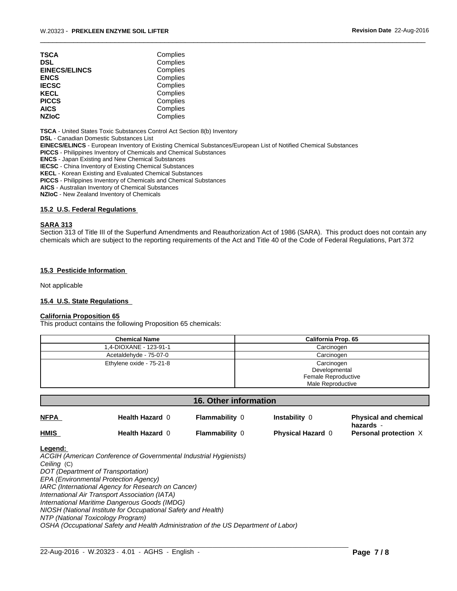| TSCA                 | Complies |  |
|----------------------|----------|--|
| DSL                  | Complies |  |
| <b>EINECS/ELINCS</b> | Complies |  |
| ENCS                 | Complies |  |
| <b>IECSC</b>         | Complies |  |
| KECL                 | Complies |  |
| PICCS                | Complies |  |
| AICS                 | Complies |  |
| <b>NZIoC</b>         | Complies |  |
|                      |          |  |

**TSCA** - United States Toxic Substances Control Act Section 8(b) Inventory

**DSL** - Canadian Domestic Substances List

**EINECS/ELINCS** - European Inventory of Existing Chemical Substances/European List of Notified Chemical Substances

**PICCS** - Philippines Inventory of Chemicals and Chemical Substances

**ENCS** - Japan Existing and New Chemical Substances

**IECSC** - China Inventory of Existing Chemical Substances

**KECL** - Korean Existing and Evaluated Chemical Substances

**PICCS** - Philippines Inventory of Chemicals and Chemical Substances

**AICS** - Australian Inventory of Chemical Substances

**NZIoC** - New Zealand Inventory of Chemicals

### **15.2 U.S. Federal Regulations**

#### **SARA 313**

Section 313 of Title III of the Superfund Amendments and Reauthorization Act of 1986 (SARA). This product does not contain any chemicals which are subject to the reporting requirements of the Act and Title 40 of the Code of Federal Regulations, Part 372

 $\overline{\phantom{a}}$  ,  $\overline{\phantom{a}}$  ,  $\overline{\phantom{a}}$  ,  $\overline{\phantom{a}}$  ,  $\overline{\phantom{a}}$  ,  $\overline{\phantom{a}}$  ,  $\overline{\phantom{a}}$  ,  $\overline{\phantom{a}}$  ,  $\overline{\phantom{a}}$  ,  $\overline{\phantom{a}}$  ,  $\overline{\phantom{a}}$  ,  $\overline{\phantom{a}}$  ,  $\overline{\phantom{a}}$  ,  $\overline{\phantom{a}}$  ,  $\overline{\phantom{a}}$  ,  $\overline{\phantom{a}}$ 

### **15.3 Pesticide Information**

Not applicable

### **15.4 U.S. State Regulations**

### **California Proposition 65**

This product contains the following Proposition 65 chemicals:

| <b>Chemical Name</b>     | <b>California Prop. 65</b> |
|--------------------------|----------------------------|
| 1.4-DIOXANE - 123-91-1   | Carcinogen                 |
| Acetaldehyde - 75-07-0   | Carcinogen                 |
| Ethylene oxide - 75-21-8 | Carcinogen                 |
|                          | Developmental              |
|                          | Female Reproductive        |
|                          | Male Reproductive          |

| <b>16. Other information</b> |                                                                   |                       |                          |                                           |  |  |
|------------------------------|-------------------------------------------------------------------|-----------------------|--------------------------|-------------------------------------------|--|--|
| <b>NFPA</b>                  | Health Hazard 0                                                   | <b>Flammability 0</b> | <b>Instability 0</b>     | <b>Physical and chemical</b><br>hazards - |  |  |
| <b>HMIS</b>                  | Health Hazard 0                                                   | <b>Flammability 0</b> | <b>Physical Hazard 0</b> | Personal protection X                     |  |  |
| Legend:                      |                                                                   |                       |                          |                                           |  |  |
|                              | ACGIH (American Conference of Governmental Industrial Hygienists) |                       |                          |                                           |  |  |
| Ceiling (C)                  |                                                                   |                       |                          |                                           |  |  |
|                              | DOT (Department of Transportation)                                |                       |                          |                                           |  |  |
|                              | EPA (Environmental Protection Agency)                             |                       |                          |                                           |  |  |
|                              | IARC (International Agency for Research on Cancer)                |                       |                          |                                           |  |  |
|                              | International Air Transport Association (IATA)                    |                       |                          |                                           |  |  |
|                              | International Maritime Dangerous Goods (IMDG)                     |                       |                          |                                           |  |  |

 $\_$  ,  $\_$  ,  $\_$  ,  $\_$  ,  $\_$  ,  $\_$  ,  $\_$  ,  $\_$  ,  $\_$  ,  $\_$  ,  $\_$  ,  $\_$  ,  $\_$  ,  $\_$  ,  $\_$  ,  $\_$  ,  $\_$  ,  $\_$  ,  $\_$  ,  $\_$  ,  $\_$  ,  $\_$  ,  $\_$  ,  $\_$  ,  $\_$  ,  $\_$  ,  $\_$  ,  $\_$  ,  $\_$  ,  $\_$  ,  $\_$  ,  $\_$  ,  $\_$  ,  $\_$  ,  $\_$  ,  $\_$  ,  $\_$  ,

*NIOSH (National Institute for Occupational Safety and Health)*

*NTP (National Toxicology Program)*

*OSHA (Occupational Safety and Health Administration of the US Department of Labor)*